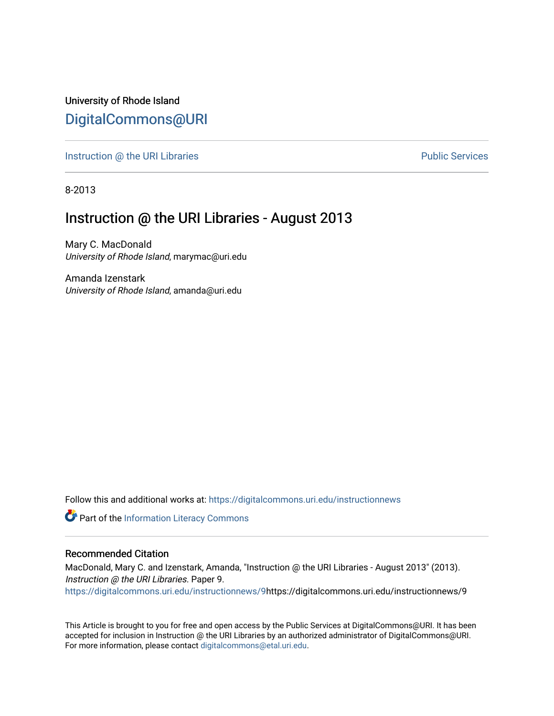University of Rhode Island [DigitalCommons@URI](https://digitalcommons.uri.edu/) 

[Instruction @ the URI Libraries](https://digitalcommons.uri.edu/instructionnews) **Public Services** Public Services

8-2013

## Instruction @ the URI Libraries - August 2013

Mary C. MacDonald University of Rhode Island, marymac@uri.edu

Amanda Izenstark University of Rhode Island, amanda@uri.edu

Follow this and additional works at: [https://digitalcommons.uri.edu/instructionnews](https://digitalcommons.uri.edu/instructionnews?utm_source=digitalcommons.uri.edu%2Finstructionnews%2F9&utm_medium=PDF&utm_campaign=PDFCoverPages)

Part of the [Information Literacy Commons](http://network.bepress.com/hgg/discipline/1243?utm_source=digitalcommons.uri.edu%2Finstructionnews%2F9&utm_medium=PDF&utm_campaign=PDFCoverPages)

#### Recommended Citation

MacDonald, Mary C. and Izenstark, Amanda, "Instruction @ the URI Libraries - August 2013" (2013). Instruction @ the URI Libraries. Paper 9. [https://digitalcommons.uri.edu/instructionnews/9](https://digitalcommons.uri.edu/instructionnews/9?utm_source=digitalcommons.uri.edu%2Finstructionnews%2F9&utm_medium=PDF&utm_campaign=PDFCoverPages)https://digitalcommons.uri.edu/instructionnews/9

This Article is brought to you for free and open access by the Public Services at DigitalCommons@URI. It has been accepted for inclusion in Instruction @ the URI Libraries by an authorized administrator of DigitalCommons@URI. For more information, please contact [digitalcommons@etal.uri.edu](mailto:digitalcommons@etal.uri.edu).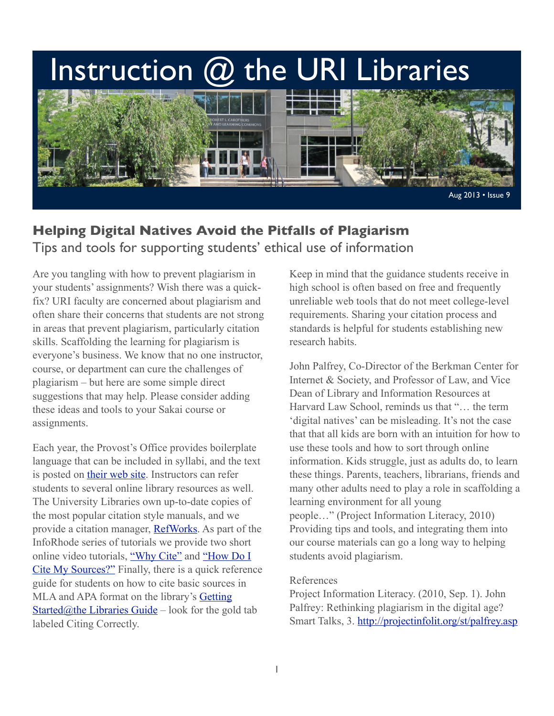# Instruction @ the URI Libraries



## **Helping Digital Natives Avoid the Pitfalls of Plagiarism** Tips and tools for supporting students' ethical use of information

Are you tangling with how to prevent plagiarism in your students' assignments? Wish there was a quickfix? URI faculty are concerned about plagiarism and often share their concerns that students are not strong in areas that prevent plagiarism, particularly citation skills. Scaffolding the learning for plagiarism is everyone's business. We know that no one instructor, course, or department can cure the challenges of plagiarism – but here are some simple direct suggestions that may help. Please consider adding these ideas and tools to your Sakai course or assignments.

Each year, the Provost's Office provides boilerplate language that can be included in syllabi, and the text is posted on [their web site.](http://www.uri.edu/provost/) Instructors can refer students to several online library resources as well. The University Libraries own up-to-date copies of the most popular citation style manuals, and we provide a citation manager, [RefWorks.](http://www.refworks.com/refworks) As part of the InfoRhode series of tutorials we provide two short online video tutorials, ["Why Cite"](http://www.youtube.com/watch?v=tZYnvtYdUKs) and "How Do I [Cite My Sources?"](http://www.youtube.com/watch?v=xSLv79LiGk0) Finally, there is a quick reference guide for students on how to cite basic sources in MLA and APA format on the library's [Getting](http://uri.libguides.com/start)  [Started@the Libraries Guide](http://uri.libguides.com/start) – look for the gold tab labeled Citing Correctly.

Keep in mind that the guidance students receive in high school is often based on free and frequently unreliable web tools that do not meet college-level requirements. Sharing your citation process and standards is helpful for students establishing new research habits.

John Palfrey, Co-Director of the Berkman Center for Internet & Society, and Professor of Law, and Vice Dean of Library and Information Resources at Harvard Law School, reminds us that "… the term 'digital natives' can be misleading. It's not the case that that all kids are born with an intuition for how to use these tools and how to sort through online information. Kids struggle, just as adults do, to learn these things. Parents, teachers, librarians, friends and many other adults need to play a role in scaffolding a learning environment for all young people…" (Project Information Literacy, 2010) Providing tips and tools, and integrating them into our course materials can go a long way to helping students avoid plagiarism.

#### References

Project Information Literacy. (2010, Sep. 1). John Palfrey: Rethinking plagiarism in the digital age? Smart Talks, 3.<http://projectinfolit.org/st/palfrey.asp>